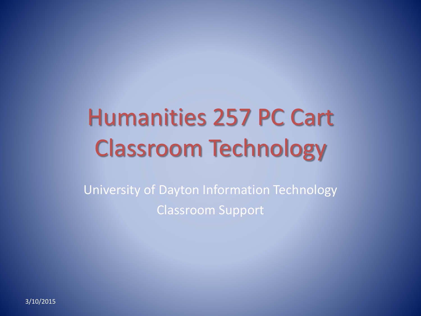# Humanities 257 PC Cart Classroom Technology

University of Dayton Information Technology Classroom Support

3/10/2015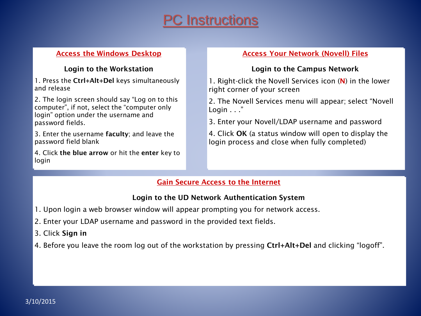## **C** Instructions

#### **Access the Windows Desktop**

#### **Login to the Workstation**

1. Press the **Ctrl+Alt+Del** keys simultaneously and release

2. The login screen should say "Log on to this computer", if not, select the "computer only login" option under the username and password fields.

3. Enter the username **faculty**; and leave the password field blank

4. Click **the blue arrow** or hit the **enter** key to login

#### **Access Your Network (Novell) Files**

#### **Login to the Campus Network**

1. Right-click the Novell Services icon (**N**) in the lower right corner of your screen

2. The Novell Services menu will appear; select "Novell Login . . ."

3. Enter your Novell/LDAP username and password

4. Click **OK** (a status window will open to display the login process and close when fully completed)

#### **Gain Secure Access to the Internet**

#### **Login to the UD Network Authentication System**

- 1. Upon login a web browser window will appear prompting you for network access.
- 2. Enter your LDAP username and password in the provided text fields.
- 3. Click **Sign in**
- 4. Before you leave the room log out of the workstation by pressing **Ctrl+Alt+Del** and clicking "logoff".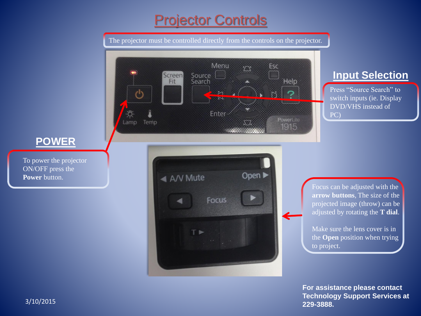## **Projector Controls**

The projector must be controlled directly from the controls on the projector.



### **Input Selection**

Press "Source Search" to switch inputs (ie. Display DVD/VHS instead of PC)

**POWER**

To power the projector ON/OFF press the **Power** button.

> Focus can be adjusted with the **arrow buttons**, The size of the projected image (throw) can be adjusted by rotating the **T dial**.

> Make sure the lens cover is in the **Open** position when trying to project.

**For assistance please contact Technology Support Services at 229-3888.**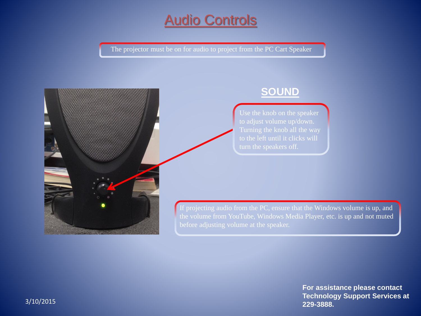## Audio Controls

The projector must be on for audio to project from the PC Cart Speaker



### **SOUND**

If projecting audio from the PC, ensure that the Windows volume is up, and the volume from YouTube, Windows Media Player, etc. is up and not muted

> **For assistance please contact Technology Support Services at 229-3888.**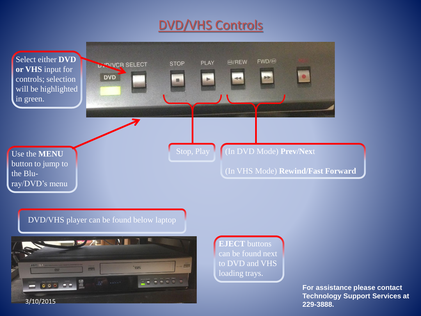## DVD/VHS Controls



DVD/VHS player can be found below laptop



**EJECT** buttons can be found next to DVD and VHS loading trays.

> **For assistance please contact Technology Support Services at 229-3888.**